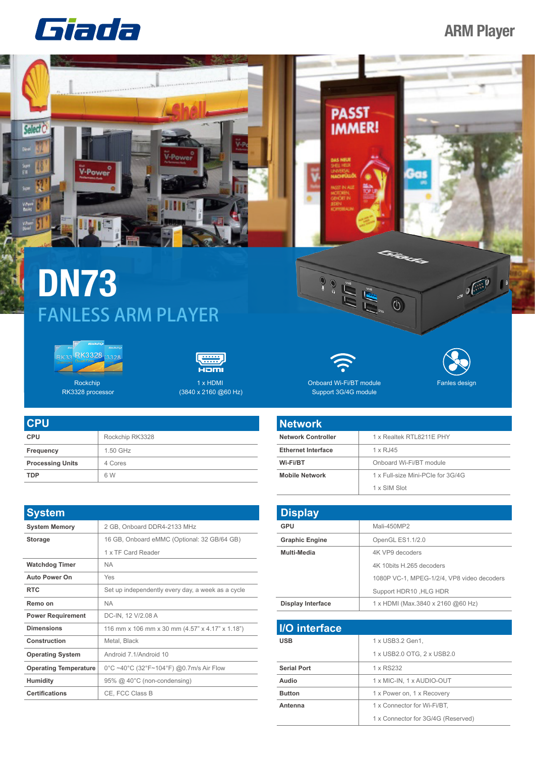## **ARM Player**





## **DN73** FANLESS ARM PLAYER





Rockchip RK3328 processor

| ecm                                |  |
|------------------------------------|--|
| 1 x HDMI                           |  |
| $(3840 \times 2160 \omega)$ 60 Hz) |  |

| <b>CPU</b>              |                 |
|-------------------------|-----------------|
| <b>CPU</b>              | Rockchip RK3328 |
| Frequency               | 1.50 GHz        |
| <b>Processing Units</b> | 4 Cores         |
| <b>TDP</b>              | 6 W             |

| <b>System</b>                |                                                   |
|------------------------------|---------------------------------------------------|
| <b>System Memory</b>         | 2 GB, Onboard DDR4-2133 MHz                       |
| <b>Storage</b>               | 16 GB, Onboard eMMC (Optional: 32 GB/64 GB)       |
|                              | 1 x TF Card Reader                                |
| <b>Watchdog Timer</b>        | <b>NA</b>                                         |
| <b>Auto Power On</b>         | Yes                                               |
| <b>RTC</b>                   | Set up independently every day, a week as a cycle |
| Remo on                      | <b>NA</b>                                         |
| <b>Power Requirement</b>     | DC-IN, 12 V/2.08 A                                |
| <b>Dimensions</b>            | 116 mm x 106 mm x 30 mm (4.57" x 4.17" x 1.18")   |
| Construction                 | Metal, Black                                      |
| <b>Operating System</b>      | Android 7.1/Android 10                            |
| <b>Operating Temperature</b> | 0°C ~40°C (32°F~104°F) @0.7m/s Air Flow           |
| Humidity                     | 95% @ 40°C (non-condensing)                       |
| <b>Certifications</b>        | CE, FCC Class B                                   |



Fanles design

 $\sqrt{10^{10}}$ 

Onboard Wi-Fi/BT module Support 3G/4G module

| <b>Network</b>            |                                   |
|---------------------------|-----------------------------------|
| <b>Network Controller</b> | 1 x Realtek RTL8211E PHY          |
| <b>Ethernet Interface</b> | 1 x RJ45                          |
| Wi-Fi/BT                  | Onboard Wi-Fi/BT module           |
| <b>Mobile Network</b>     | 1 x Full-size Mini-PCIe for 3G/4G |
|                           | 1 x SIM Slot                      |

| <b>Display</b>           |                                            |
|--------------------------|--------------------------------------------|
| GPU                      | Mali-450MP2                                |
| <b>Graphic Engine</b>    | OpenGL ES1.1/2.0                           |
| Multi-Media              | 4K VP9 decoders                            |
|                          | 4K 10bits H 265 decoders                   |
|                          | 1080P VC-1, MPEG-1/2/4, VP8 video decoders |
|                          | Support HDR10, HLG HDR                     |
| <b>Display Interface</b> | 1 x HDMI (Max.3840 x 2160 @60 Hz)          |

| I/O interface      |                                    |
|--------------------|------------------------------------|
| <b>USB</b>         | 1 x USB3.2 Gen1,                   |
|                    | 1 x USB2.0 OTG, 2 x USB2.0         |
| <b>Serial Port</b> | 1 x RS232                          |
| Audio              | 1 x MIC-IN, 1 x AUDIO-OUT          |
| <b>Button</b>      | 1 x Power on, 1 x Recovery         |
| Antenna            | 1 x Connector for Wi-Fi/BT,        |
|                    | 1 x Connector for 3G/4G (Reserved) |